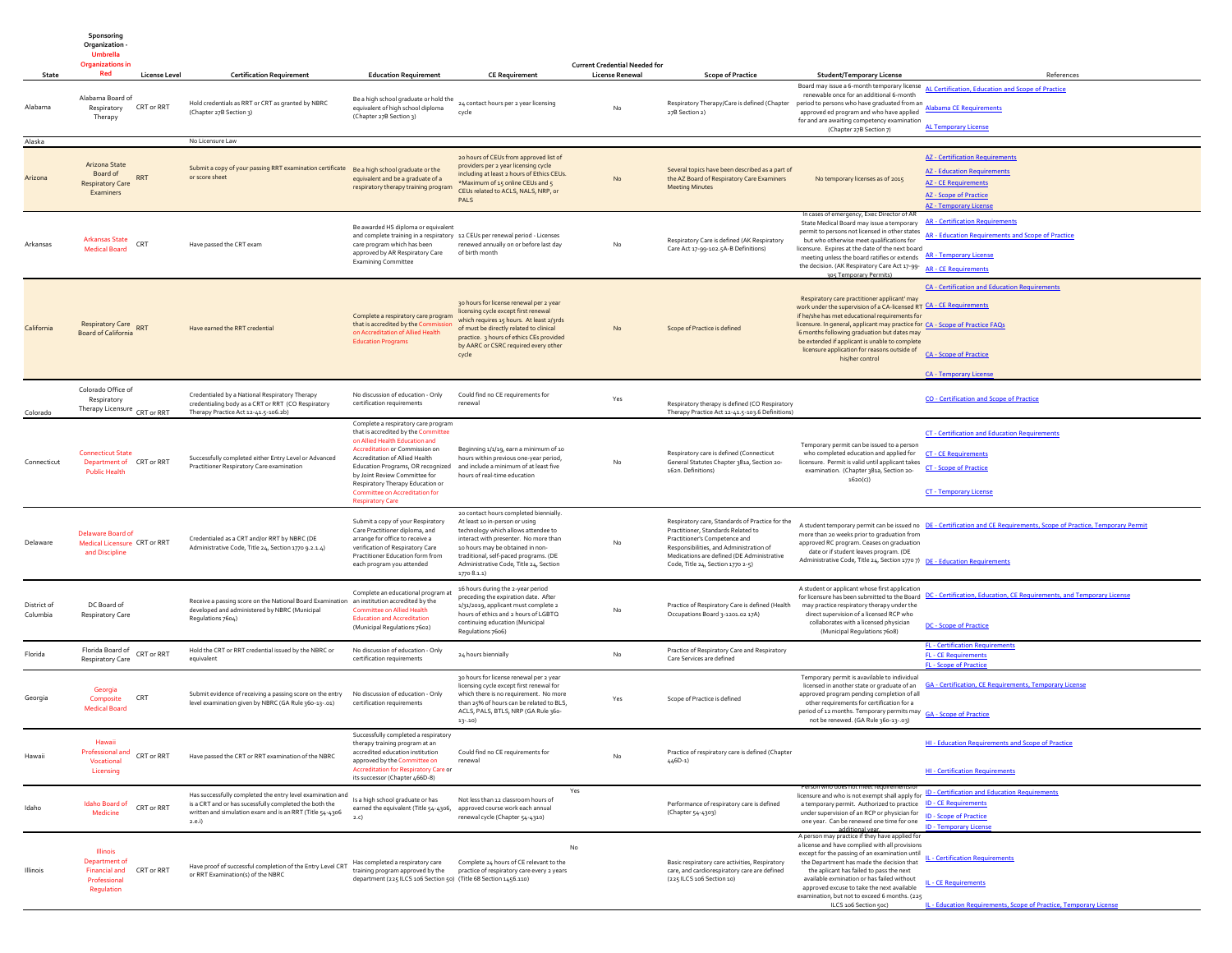|                         | <b>Organizations in</b>                                                         |                      |                                                                                                                                                                                             |                                                                                                                                                                                                                                                                                                                                     |                                                                                                                                                                                                                                                                                                | <b>Current Credential Needed for</b> |                                                                                                                                                                                                                                                      |                                                                                                                                                                                                                                                                                                                                                                                                                                                     |                                                                                                                                                                               |
|-------------------------|---------------------------------------------------------------------------------|----------------------|---------------------------------------------------------------------------------------------------------------------------------------------------------------------------------------------|-------------------------------------------------------------------------------------------------------------------------------------------------------------------------------------------------------------------------------------------------------------------------------------------------------------------------------------|------------------------------------------------------------------------------------------------------------------------------------------------------------------------------------------------------------------------------------------------------------------------------------------------|--------------------------------------|------------------------------------------------------------------------------------------------------------------------------------------------------------------------------------------------------------------------------------------------------|-----------------------------------------------------------------------------------------------------------------------------------------------------------------------------------------------------------------------------------------------------------------------------------------------------------------------------------------------------------------------------------------------------------------------------------------------------|-------------------------------------------------------------------------------------------------------------------------------------------------------------------------------|
| <b>State</b>            | Red                                                                             | <b>License Level</b> | <b>Certification Requirement</b>                                                                                                                                                            | <b>Education Requirement</b>                                                                                                                                                                                                                                                                                                        | <b>CE Requirement</b>                                                                                                                                                                                                                                                                          | <b>License Renewal</b>               | <b>Scope of Practice</b>                                                                                                                                                                                                                             | <b>Student/Temporary License</b>                                                                                                                                                                                                                                                                                                                                                                                                                    | References                                                                                                                                                                    |
| Alabama                 | Alabama Board of<br>Respiratory<br>Therapy                                      | CRT or RRT           | Hold credentials as RRT or CRT as granted by NBRC<br>(Chapter 27B Section 3)                                                                                                                | Be a high school graduate or hold the<br>equivalent of high school diploma<br>(Chapter 27B Section 3)                                                                                                                                                                                                                               | 24 contact hours per 2 year licensing<br>cycle                                                                                                                                                                                                                                                 | No                                   | Respiratory Therapy/Care is defined (Chapter<br>27B Section 2)                                                                                                                                                                                       | renewable once for an additional 6-month<br>period to persons who have graduated from an<br>approved ed program and who have applied<br>for and are awaiting competency examination<br>(Chapter 27B Section 7)                                                                                                                                                                                                                                      | Board may issue a 6-month temporary license AL Certification, Education and Scope of Practice<br><b>Alabama CE Requirements</b><br><b>AL Temporary License</b>                |
| Alaska                  |                                                                                 |                      | No Licensure Law                                                                                                                                                                            |                                                                                                                                                                                                                                                                                                                                     |                                                                                                                                                                                                                                                                                                |                                      |                                                                                                                                                                                                                                                      |                                                                                                                                                                                                                                                                                                                                                                                                                                                     |                                                                                                                                                                               |
| Arizona                 | Arizona State<br>Board of<br><b>Respiratory Care</b><br>Examiners               | RRT                  | Submit a copy of your passing RRT examination certificate Be a high school graduate or the<br>or score sheet                                                                                | equivalent and be a graduate of a<br>respiratory therapy training program                                                                                                                                                                                                                                                           | 20 hours of CEUs from approved list of<br>providers per 2 year licensing cycle<br>including at least 2 hours of Ethics CEUs.<br>*Maximum of 15 online CEUs and 5<br>CEUs related to ACLS, NALS, NRP, or<br>PALS                                                                                | No                                   | Several topics have been described as a part of<br>the AZ Board of Respiratory Care Examiners<br><b>Meeting Minutes</b>                                                                                                                              | No temporary licenses as of 2015                                                                                                                                                                                                                                                                                                                                                                                                                    | <b>AZ</b> - Certification Requirements<br><b>AZ</b> - Education Requirements<br><b>AZ</b> - CE Requirements<br><b>AZ</b> - Scope of Practice<br><b>AZ</b> - Temporary License |
| Arkansas                | Arkansas State<br><b>Medical Board</b>                                          | CRT                  | Have passed the CRT exam                                                                                                                                                                    | Be awarded HS diploma or equivalent<br>and complete training in a respiratory 12 CEUs per renewal period - Licenses<br>care program which has been<br>approved by AR Respiratory Care<br><b>Examining Committee</b>                                                                                                                 | renewed annually on or before last day<br>of birth month                                                                                                                                                                                                                                       | No                                   | Respiratory Care is defined (AK Respiratory<br>Care Act 17-99-102.5A-B Definitions)                                                                                                                                                                  | In cases of emergency, Exec Director of A<br>State Medical Board may issue a temporary AR - Certification Requirements<br>permit to persons not licensed in other states<br>but who otherwise meet qualifications for<br>licensure. Expires at the date of the next board<br>meeting unless the board ratifies or extends AR - Temporary License<br>the decision. (AK Respiratory Care Act 17-99-<br>AR - CE Requirements<br>305 Temporary Permits) | AR - Education Requirements and Scope of Practice                                                                                                                             |
| California              | Respiratory Care RRT<br>Board of California                                     |                      | Have earned the RRT credential                                                                                                                                                              | Complete a respiratory care program<br>that is accredited by the Com<br>on Accreditation of Allied Health<br><b>Education Programs</b>                                                                                                                                                                                              | 30 hours for license renewal per 2 year<br>licensing cycle except first renewal<br>which requires 15 hours. At least 2/3rds<br>of must be directly related to clinical<br>practice. 3 hours of ethics CEs provided<br>by AARC or CSRC required every other<br>cycle                            | No                                   | Scope of Practice is defined                                                                                                                                                                                                                         | Respiratory care practitioner applicant' may<br>work under the supervision of a CA-licensed RT CA - CE Requirements<br>if he/she has met educational requirements for<br>licensure. In general, applicant may practice for CA - Scope of Practice FAQs<br>6 months following graduation but dates may<br>be extended if applicant is unable to complete<br>licensure application for reasons outside of<br>his/her control                          | <b>CA - Certification and Education Requirements</b><br><b>CA - Scope of Practice</b><br><b>CA - Temporary License</b>                                                        |
| Colorado                | Colorado Office of<br>Respiratory<br>Therapy Licensure CRT or RRT               |                      | Credentialed by a National Respiratory Therapy<br>credentialing body as a CRT or RRT (CO Respiratory<br>Therapy Practice Act 12-41.5-106.2b)                                                | No discussion of education - Only<br>certification requirements                                                                                                                                                                                                                                                                     | Could find no CE requirements for<br>renewal                                                                                                                                                                                                                                                   | Yes                                  | Respiratory therapy is defined (CO Respiratory<br>Therapy Practice Act 12-41.5-103.6 Definitions)                                                                                                                                                    |                                                                                                                                                                                                                                                                                                                                                                                                                                                     | <b>CO</b> - Certification and Scope of Practice                                                                                                                               |
| Connecticut             | <b>Connecticut State</b><br>Department of CRT or RRT<br><b>Public Health</b>    |                      | Successfully completed either Entry Level or Advanced<br>Practitioner Respiratory Care examination                                                                                          | Complete a respiratory care program<br>that is accredited by the Committee<br>on Allied Health Education and<br>Accreditation or Commission on<br>Accreditation of Allied Health<br>Education Programs, OR recognized<br>by Joint Review Committee for<br>Respiratory Therapy Education or<br><b>Committee on Accreditation for</b> | Beginning 1/1/19, earn a minimum of 10<br>hours within previous one-year period.<br>and include a minimum of at least five<br>hours of real-time education                                                                                                                                     | No                                   | Respiratory care is defined (Connecticut<br>General Statutes Chapter 381a, Section 20-<br>162n. Definitions)                                                                                                                                         | Temporary permit can be issued to a person<br>who completed education and applied for<br>licensure. Permit is valid until applicant takes<br>examination. (Chapter 381a, Section 20-<br>1620(c)                                                                                                                                                                                                                                                     | <b>CT - Certification and Education Requirements</b><br><b>CT - CE Requirements</b><br><b>CT</b> - Scope of Practice<br><b>CT - Temporary License</b>                         |
| Delaware                | Delaware Board of<br>Medical Licensure CRT or RRT<br>and Discipline             |                      | Credentialed as a CRT and/or RRT by NBRC (DE<br>Administrative Code, Title 24, Section 1770 9.2.1.4)                                                                                        | <b>Respiratory Care</b><br>Submit a copy of your Respiratory<br>Care Practitioner diploma, and<br>arrange for office to receive a<br>verification of Respiratory Care<br>Practitioner Education form from<br>each program you attended                                                                                              | 20 contact hours completed biennially.<br>At least 10 in-person or using<br>technology which allows attendee to<br>interact with presenter. No more than<br>10 hours may be obtained in non-<br>traditional, self-paced programs. (DE<br>Administrative Code, Title 24, Section<br>1770 8.1.1) | No                                   | Respiratory care, Standards of Practice for the<br>Practitioner, Standards Related to<br>Practitioner's Competence and<br>Responsibilities, and Administration of<br>Medications are defined (DE Administrative<br>Code, Title 24, Section 1770 2-5) | more than 20 weeks prior to graduation from<br>approved RC program. Ceases on graduation<br>date or if student leaves program. (DE<br>Administrative Code, Title 24, Section 1770 7) DE - Education Requirements                                                                                                                                                                                                                                    | A student temporary permit can be issued no DE - Certification and CE Requirements, Scope of Practice, Temporary Permit                                                       |
| District of<br>Columbia | DC Board of<br><b>Respiratory Care</b>                                          |                      | Receive a passing score on the National Board Examination an institution accredited by the<br>developed and administered by NBRC (Municipal<br>Regulations 7604)                            | Complete an educational program at<br><b>Committee on Allied Health</b><br><b>Education and Accreditation</b><br>(Municipal Regulations 7602)                                                                                                                                                                                       | 16 hours during the 2-year period<br>preceding the expiration date. After<br>1/31/2019, applicant must complete 2<br>hours of ethics and 2 hours of LGBTQ<br>continuing education (Municipal<br>Regulations 7606)                                                                              | No                                   | Practice of Respiratory Care is defined (Health<br>Occupations Board 3-1201.02 17A)                                                                                                                                                                  | A student or applicant whose first application<br>may practice respiratory therapy under the<br>direct supervision of a licensed RCP who<br>collaborates with a licensed physician<br>(Municipal Regulations 7608)                                                                                                                                                                                                                                  | for licensure has been submitted to the Board DC - Certification, Education, CE Requirements, and Temporary License<br><b>DC</b> - Scope of Practice                          |
| Florida                 | Florida Board of<br>Respiratory Care                                            | CRT or RRT           | Hold the CRT or RRT credential issued by the NBRC or<br>equivalent                                                                                                                          | No discussion of education - Only<br>certification requirements                                                                                                                                                                                                                                                                     | 24 hours biennially                                                                                                                                                                                                                                                                            | No                                   | Practice of Respiratory Care and Respiratory<br>Care Services are defined                                                                                                                                                                            |                                                                                                                                                                                                                                                                                                                                                                                                                                                     | <b>FL - Certification Requirements</b><br><b>FL - CE Requirements</b><br><b>FL</b> - Scope of Practice                                                                        |
| Georgia                 | Georgia<br>Composite<br><b>Medical Board</b>                                    | CRT                  | Submit evidence of receiving a passing score on the entry<br>level examination given by NBRC (GA Rule 360-13-.01)                                                                           | No discussion of education - Only<br>certification requirements                                                                                                                                                                                                                                                                     | 30 hours for license renewal per 2 year<br>licensing cycle except first renewal for<br>which there is no requirement. No more<br>than 25% of hours can be related to BLS,<br>ACLS, PALS, BTLS, NRP (GA Rule 360-<br>$13 - 10$                                                                  | Yes                                  | Scope of Practice is defined                                                                                                                                                                                                                         | Temporary permit is avavilable to individual<br>approved program pending completion of all<br>other requirements for certification for a<br>period of 12 months. Temporary permits may GA - Scope of Practice<br>not be renewed. (GA Rule 360-13-.03)                                                                                                                                                                                               | licensed in another state or graduate of an GA - Certification, CE Requirements, Temporary License                                                                            |
| Hawaii                  | Hawaii<br><b>Professional and</b><br>Vocational<br>Licensing                    | CRT or RRT           | Have passed the CRT or RRT examination of the NBRC                                                                                                                                          | Successfully completed a respiratory<br>therapy training program at an<br>eccredited education institution<br>approved by the Committee on<br><b>Accreditation for Respiratory Care or</b><br>its successor (Chapter 466D-8)                                                                                                        | Could find no CE requirements for<br>renewal                                                                                                                                                                                                                                                   |                                      | Practice of respiratory care is defined (Chapter<br>$446D-1)$                                                                                                                                                                                        |                                                                                                                                                                                                                                                                                                                                                                                                                                                     | <b>HI - Education Requirements and Scope of Practice</b><br><b>HI - Certification Requirements</b>                                                                            |
| Idaho                   | Idaho Board of<br>Medicine                                                      | CRT or RRT           | Has successfully completed the entry level examination and<br>is a CRT and or has sucessfully completed the both the<br>written and simulation exam and is an RRT (Title 54-4306<br>2.e. i) | Is a high school graduate or has<br>earned the equivalent (Title 54-4306,                                                                                                                                                                                                                                                           | Yes<br>Not less than 12 classroom hours of<br>approved course work each annual<br>renewal cycle (Chapter 54-4310)                                                                                                                                                                              |                                      | Performance of respiratory care is defined<br>(Chapter 54-4303)                                                                                                                                                                                      | a temporary permit. Authorized to practice ID - CE Requirements<br>under supervision of an RCP or physician for<br>one year. Can be renewed one time for one                                                                                                                                                                                                                                                                                        | licensure and who is not exempt shall apply for ID - Certification and Education Requirements<br><b>ID - Scope of Practice</b><br><b>ID - Temporary License</b>               |
| Illinois                | Illinois<br>Department of<br><b>Financial and</b><br>Professional<br>Regulation | CRT or RRT           | Have proof of successful completion of the Entry Level CRT<br>or RRT Examination(s) of the NBRC                                                                                             | Has completed a respiratory care<br>training program approved by the<br>department (225 ILCS 106 Section 50) (Title 68 Section 1456.110)                                                                                                                                                                                            | No<br>Complete 24 hours of CE relevant to the<br>practice of respiratory care every 2 years                                                                                                                                                                                                    |                                      | Basic respiratory care activities, Respiratory<br>care, and cardiorespiratory care are defined<br>(225 ILCS 106 Section 10)                                                                                                                          | additional vear<br>A person may practice if they have applied for<br>a license and have complied with all provisions<br>except for the passing of an examination until<br>the Department has made the decision that<br>the aplicant has failed to pass the next<br>available exmination or has failed without<br>approved excuse to take the next available<br>examination, but not to exceed 6 months. (225)<br>ILCS 106 Section 50c)              | <b>L - Certification Requirements</b><br><b>IL - CE Requirements</b><br>IL - Education Requirements, Scope of Practice, Temporary License                                     |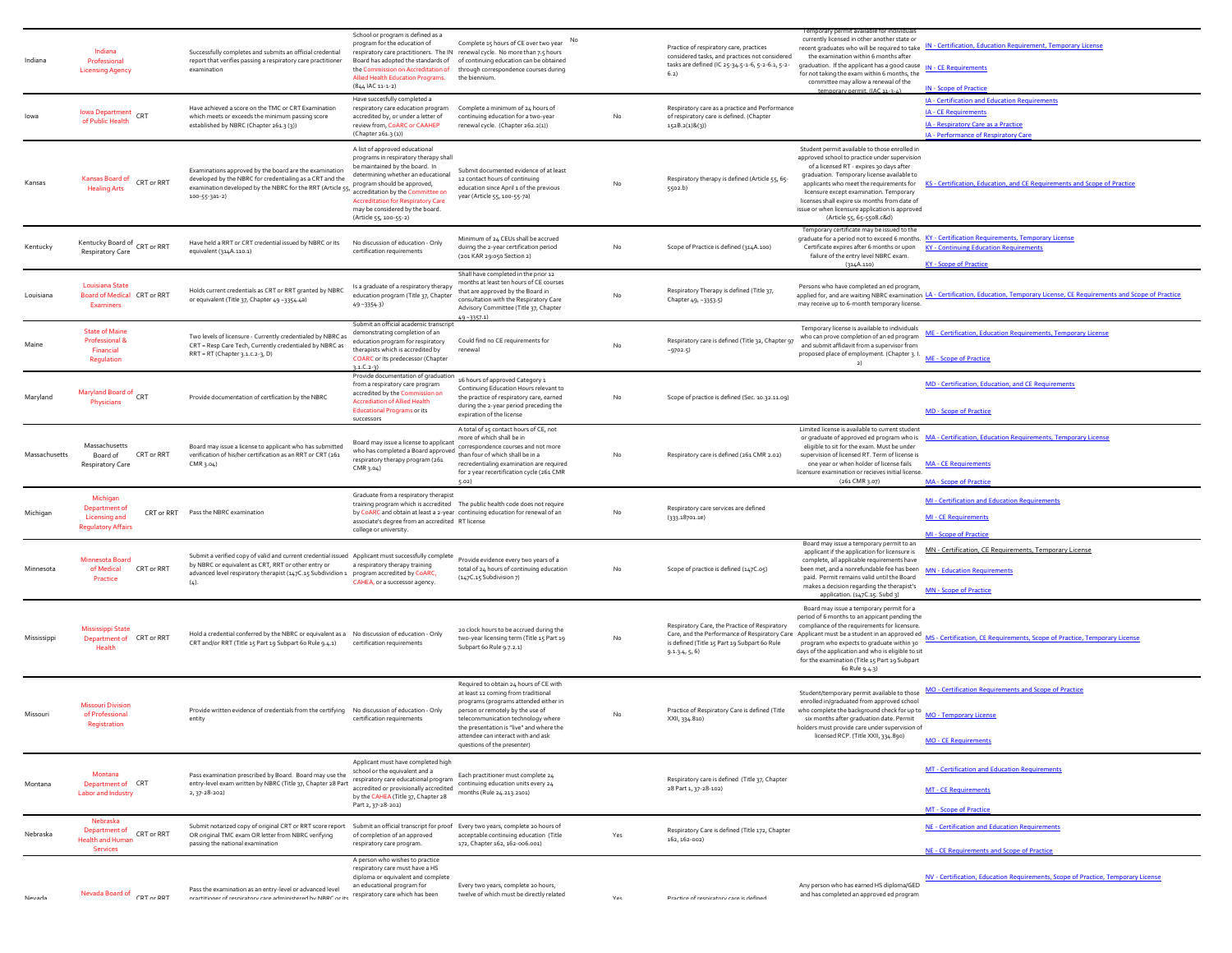| Indiana       | Indiana<br>Professional<br><b>Licensing Agency</b>                                           | Successfully completes and submits an official credential<br>report that verifies passing a respiratory care practitioner<br>examination                                                                                                                       | School or program is defined as a<br>program for the education of<br>Board has adopted the standards of<br>the Commission on Accreditation of<br>Allied Health Education Programs.<br>(844 IAC 11-1-2)                                                                                                                        | Complete 15 hours of CE over two year No<br>respiratory care practitioners. The IN renewal cycle. No more than 7.5 hours<br>of continuing education can be obtained<br>through correspondence courses during<br>the biennium.                                                                                     |     | Practice of respiratory care, practices<br>considered tasks, and practices not considered<br>tasks are defined (IC 25-34.5-1-6, 5-2-6.1, 5-2-<br>6.2)                                                        | currently licensed in other another state or<br>the examination within 6 months after<br>graduation. If the applicant has a good cause<br>for not taking the exam within 6 months, the<br>committee may allow a renewal of the<br>nermit (IAC 11-2                                                                                                                                                               | recent graduates who will be required to take IN - Certification, Education Requirement, Temporary License<br><b>IN - CE Requirements</b><br><b>IN - Scope of Practice</b>         |
|---------------|----------------------------------------------------------------------------------------------|----------------------------------------------------------------------------------------------------------------------------------------------------------------------------------------------------------------------------------------------------------------|-------------------------------------------------------------------------------------------------------------------------------------------------------------------------------------------------------------------------------------------------------------------------------------------------------------------------------|-------------------------------------------------------------------------------------------------------------------------------------------------------------------------------------------------------------------------------------------------------------------------------------------------------------------|-----|--------------------------------------------------------------------------------------------------------------------------------------------------------------------------------------------------------------|------------------------------------------------------------------------------------------------------------------------------------------------------------------------------------------------------------------------------------------------------------------------------------------------------------------------------------------------------------------------------------------------------------------|------------------------------------------------------------------------------------------------------------------------------------------------------------------------------------|
|               | lowa Department<br>CRT<br>of Public Health                                                   | Have achieved a score on the TMC or CRT Examination<br>which meets or exceeds the minimum passing score<br>established by NBRC (Chapter 261.3 (3))                                                                                                             | Have succesfully completed a<br>respiratory care education program<br>accredited by, or under a letter of<br>review from, CoARC or CAAHEP<br>(Chapter 261.3(1))                                                                                                                                                               | Complete a minimum of 24 hours of<br>continuing education for a two-year<br>renewal cycle. (Chapter 262.2(1))                                                                                                                                                                                                     | No  | Respiratory care as a practice and Performance<br>of respiratory care is defined. (Chapter<br>152B.2(1)8(3)                                                                                                  |                                                                                                                                                                                                                                                                                                                                                                                                                  | IA - Certification and Education Requirements<br><b>IA - CE Requirements</b><br>IA - Respiratory Care as a Practice<br>IA - Performance of Respiratory Care                        |
| Kansas        | Kansas Board of CRT or RRT<br><b>Healing Arts</b>                                            | Examinations approved by the board are the examination<br>developed by the NBRC for credentialing as a CRT and the<br>examination developed by the NBRC for the RRT (Article 55,<br>$100 - 55 - 3a1 - 2$                                                       | A list of approved educational<br>programs in respiratory therapy shall<br>be maintained by the board. In<br>determining whether an educational<br>program should be approved,<br>accreditation by the Committee on<br><b>Accreditation for Respiratory Care</b><br>may be considered by the board.<br>(Article 55, 100-55-2) | Submit documented evidence of at least<br>12 contact hours of continuing<br>education since April 1 of the previous<br>year (Article 55, 100-55-7a)                                                                                                                                                               | No  | Respiratory therapy is defined (Article 55, 65-<br>5502.b)                                                                                                                                                   | Student permit available to those enrolled in<br>approved school to practice under supervision<br>of a licensed RT - expires 30 days after<br>graduation. Temporary license available to<br>applicants who meet the requirements for<br>licensure except examination. Temporary<br>licenses shall expire six months from date of<br>issue or when licensure application is approved<br>(Article 55, 65-5508.c&d) | KS - Certification, Education, and CE Requirements and Scope of Practice                                                                                                           |
| Kentucky      | Kentucky Board of CRT or RRT<br>Respiratory Care                                             | Have held a RRT or CRT credential issued by NBRC or its<br>equivalent (314A.110.1)                                                                                                                                                                             | No discussion of education - Only<br>certification requirements                                                                                                                                                                                                                                                               | Minimum of 24 CEUs shall be accrued<br>duirng the 2-year certification period<br>(201 KAR 29:050 Section 2)                                                                                                                                                                                                       | No  | Scope of Practice is defined (314A.100)                                                                                                                                                                      | Temporary certificate may be issued to the<br>Certificate expires after 6 months or upon<br>failure of the entry level NBRC exam<br>(314A.110)                                                                                                                                                                                                                                                                   | graduate for a period not to exceed 6 months. KY - Certification Requirements, Temporary License<br><b>KY - Continuing Education Requirements</b><br><b>KY</b> - Scope of Practice |
| Louisiana     | Louisiana State<br>Board of Medical CRT or RRT<br><b>Examiners</b>                           | Holds current credentials as CRT or RRT granted by NBRC<br>or equivalent (Title 37, Chapter 49 -3354.4a)                                                                                                                                                       | Is a graduate of a respiratory therapy<br>education program (Title 37, Chapter<br>49-3354-3)                                                                                                                                                                                                                                  | Shall have completed in the prior 12<br>months at least ten hours of CE courses<br>that are approved by the Board in<br>consultation with the Respiratory Care<br>Advisory Committee (Title 37, Chapter<br>49-3357.1)                                                                                             | No  | Respiratory Therapy is defined (Title 37,<br>Chapter 49, -3353.5)                                                                                                                                            | Persons who have completed an ed program,<br>may receive up to 6-month temporary license.                                                                                                                                                                                                                                                                                                                        | applied for, and are waiting NBRC examination LA - Certification, Education, Temporary License, CE Requirements and Scope of Practice                                              |
| Maine         | <b>State of Maine</b><br>Professional &<br>Financial<br>Regulation                           | Two levels of licensure - Currently credentialed by NBRC as<br>CRT = Resp Care Tech, Currently credentialed by NBRC as<br>RRT = RT (Chapter 3.1.c.2-3, D)                                                                                                      | Submit an official academic transcri<br>demonstrating completion of an<br>education program for respiratory<br>therapists which is accredited by<br><b>COARC</b> or its predecessor (Chapter<br>$3.1.C.2-3)$                                                                                                                  | Could find no CE requirements for<br>renewal                                                                                                                                                                                                                                                                      |     | Respiratory care is defined (Title 32, Chapter 97<br>$-9702.5$ )                                                                                                                                             | Temporary license is available to individuals<br>who can prove completion of an ed program<br>and submit affidavit from a supervisor from<br>proposed place of employment. (Chapter 3.1.<br>2)                                                                                                                                                                                                                   | ME - Certification, Education Requirements, Temporary License<br>ME - Scope of Practice                                                                                            |
| Maryland      | Maryland Board of CRT<br>Physicians                                                          | Provide documentation of certfication by the NBRC                                                                                                                                                                                                              | Provide documentation of graduation<br>from a respiratory care program<br>accredited by the Commission on<br><b>Accrediation of Allied Health</b><br><b>Educational Programs or its</b><br>successors                                                                                                                         | 16 hours of approved Category 1<br>Continuing Education Hours relevant to<br>the practice of respiratory care, earned<br>during the 2-year period preceding the<br>expiration of the license                                                                                                                      | No  | Scope of practice is defined (Sec. 10.32.11.09)                                                                                                                                                              |                                                                                                                                                                                                                                                                                                                                                                                                                  | MD - Certification, Education, and CE Requirements<br><b>MD</b> - Scope of Practice                                                                                                |
| Massachusetts | Massachusetts<br>Board of<br>CRT or RRT<br><b>Respiratory Care</b>                           | Board may issue a license to applicant who has submitted<br>verification of his/her certification as an RRT or CRT (261<br>CMR 3.04)                                                                                                                           | Board may issue a license to applicant<br>business the completed a Board approved conception of which shall be in a<br>respiratory therapy program (261<br>CMR 3.04)                                                                                                                                                          | A total of 15 contact hours of CE, not<br>more of which shall be in<br>correspondence courses and not more<br>recredentialing examination are required<br>for 2 year recertification cycle (261 CMR<br>5.02)                                                                                                      | No  | Respiratory care is defined (261 CMR 2.02)                                                                                                                                                                   | Limited license is available to current student<br>or graduate of approved ed program who is<br>eligible to sit for the exam. Must be under<br>supervision of licensed RT. Term of license is<br>one year or when holder of license fails<br>licensure examination or recieves initial license.<br>(261 CMR 3.07)                                                                                                | MA - Certification, Education Requirements, Temporary License<br><b>MA - CE Requirements</b><br><b>MA - Scope of Practice</b>                                                      |
| Michigan      | Michigan<br>Department of<br>CRT or RRT<br><b>Licensing and</b><br><b>Regulatory Affairs</b> | Pass the NBRC examination                                                                                                                                                                                                                                      | Graduate from a respiratory therapist<br>associate's degree from an accredited RT license<br>college or university.                                                                                                                                                                                                           | training program which is accredited The public health code does not require<br>by CoARC and obtain at least a 2-year continuing education for renewal of an                                                                                                                                                      | No  | Respiratory care services are defined<br>(333.18701.1e)                                                                                                                                                      |                                                                                                                                                                                                                                                                                                                                                                                                                  | MI - Certification and Education Requirements<br><b>MI - CE Requirements</b><br>MI - Scope of Practic                                                                              |
| Minnesota     | Minnesota Board<br>CRT or RRT<br>of Medical<br>Practice                                      | Submit a verified copy of valid and current credential issued  Applicant must successfully complete<br>by NBRC or equivalent as CRT, RRT or other entry or<br>advanced level respiratory therapist (147C.15 Subdividion 1 program accredited by CoARC,<br>(4). | a respiratory therapy training<br>CAHEA, or a successor agency.                                                                                                                                                                                                                                                               | Provide evidence every two years of a<br>total of 24 hours of continuing education<br>(147C.15 Subdivision 7)                                                                                                                                                                                                     | No  | Scope of practice is defined (147C.05)                                                                                                                                                                       | Board may issue a temporary permit to an<br>applicant if the application for licensure is<br>complete, all applicable requirements have<br>been met, and a nonrefundable fee has been<br>paid. Permit remains valid until the Board<br>makes a decision regarding the therapist's<br>application. (147C.15. Subd 3)                                                                                              | MN - Certification, CE Requirements, Temporary License<br><b>MN - Education Requirements</b><br><b>MN - Scope of Practice</b>                                                      |
| Mississippi   | <b>Mississippi State</b><br>Department of CRT or RRT<br>Health                               | Hold a credential conferred by the NBRC or equivalent as a No discussion of education - Only<br>CRT and/or RRT (Title 15 Part 19 Subpart 6o Rule 9.4.1)                                                                                                        | certification requirements                                                                                                                                                                                                                                                                                                    | 20 clock hours to be accrued during the<br>two-year licensing term (Title 15 Part 19<br>Subpart 6o Rule 9.7.2.1)                                                                                                                                                                                                  | No  | Respiratory Care, the Practice of Respiratory<br>Care, and the Performance of Respiratory Care Applicant must be a student in an approved ed<br>is defined (Title 15 Part 19 Subpart 60 Rule<br>9.1.3.4, 5.6 | Board may issue a temporary permit for a<br>period of 6 months to an appicant pending the<br>compliance of the requirements for licensure.<br>program who expects to graduate within 30<br>days of the application and who is eligible to sit<br>for the examination (Title 15 Part 19 Subpart<br>6o Rule 9.4.3)                                                                                                 | MS - Certification, CE Requirements, Scope of Practice, Temporary License                                                                                                          |
| Missouri      | <b>Missouri Division</b><br>of Professional<br>Registration                                  | Provide written evidence of credentials from the certifying No discussion of education - Only<br>entity                                                                                                                                                        | certification requirements                                                                                                                                                                                                                                                                                                    | Required to obtain 24 hours of CE with<br>at least 12 coming from traditional<br>programs (programs attended either in<br>person or remotely by the use of<br>telecommunication technology where<br>the presentation is "live" and where the<br>attendee can interact with and ask<br>questions of the presenter) | No  | Practice of Respiratory Care is defined (Title<br>XXII, 334.810)                                                                                                                                             | Student/temporary permit available to those<br>enrolled in/graduated from approved school<br>who complete the background check for up to<br>six months after graduation date. Permit<br>lders must provide care under supervis<br>licensed RCP. (Title XXII, 334.890)                                                                                                                                            | MO - Certification Requirements and Scope of Practice<br><b>MO - Temporary License</b><br><b>MO - CE Requirements</b>                                                              |
| Montana       | Montana<br>Department of CRT<br><b>Labor and Industry</b>                                    | Pass examination prescribed by Board. Board may use the<br>entry-level exam written by NBRC (Title 37, Chapter 28 Part<br>2, 37-28-202)                                                                                                                        | Applicant must have completed high<br>school or the equivalent and a<br>respiratory care educational program<br>accredited or provisionally accredited<br>by the CAHEA (Title 37, Chapter 28<br>Part 2, 37-28-202)                                                                                                            | Each practitioner must complete 24<br>continuing education units every 24<br>months (Rule 24.213.2101)                                                                                                                                                                                                            |     | Respiratory care is defined (Title 37, Chapter<br>28 Part 1, 37-28-102)                                                                                                                                      |                                                                                                                                                                                                                                                                                                                                                                                                                  | MT - Certification and Education Requirements<br><b>MT - CE Requirements</b><br><b>MT - Scope of Practice</b>                                                                      |
| Nebraska      | Nebraska<br>Department of<br>CRT or RRT<br><b>Health and Human</b><br><b>Services</b>        | Submit notarized copy of original CRT or RRT score report Submit an official transcript for proof Every two years, complete 20 hours of<br>OR original TMC exam OR letter from NBRC verifying<br>passing the national examination                              | of completion of an approved<br>respiratory care program.                                                                                                                                                                                                                                                                     | acceptable continuing education (Title<br>172, Chapter 162, 162-006.001)                                                                                                                                                                                                                                          | Yes | Respiratory Care is defined (Title 172, Chapter<br>162, 162-002)                                                                                                                                             |                                                                                                                                                                                                                                                                                                                                                                                                                  | NE - Certification and Education Requirements<br>NE - CE Requirements and Scope of Practice                                                                                        |
| Nevada        | Nevada Board of CRT or RRT                                                                   | Pass the examination as an entry-level or advanced level<br>nractitioner of resniratory care administered by NRPC or its                                                                                                                                       | A person who wishes to practice<br>respiratory care must have a HS<br>diploma or equivalent and complete<br>an educational program for<br>respiratory care which has been                                                                                                                                                     | Every two years, complete 20 hours,<br>twelve of which must be directly related                                                                                                                                                                                                                                   | Vac | Practice of resniratory care is defined                                                                                                                                                                      | Any person who has earned HS diploma/GED<br>and has completed an approved ed program                                                                                                                                                                                                                                                                                                                             | NV - Certification, Education Requirements, Scope of Practice, Temporary License                                                                                                   |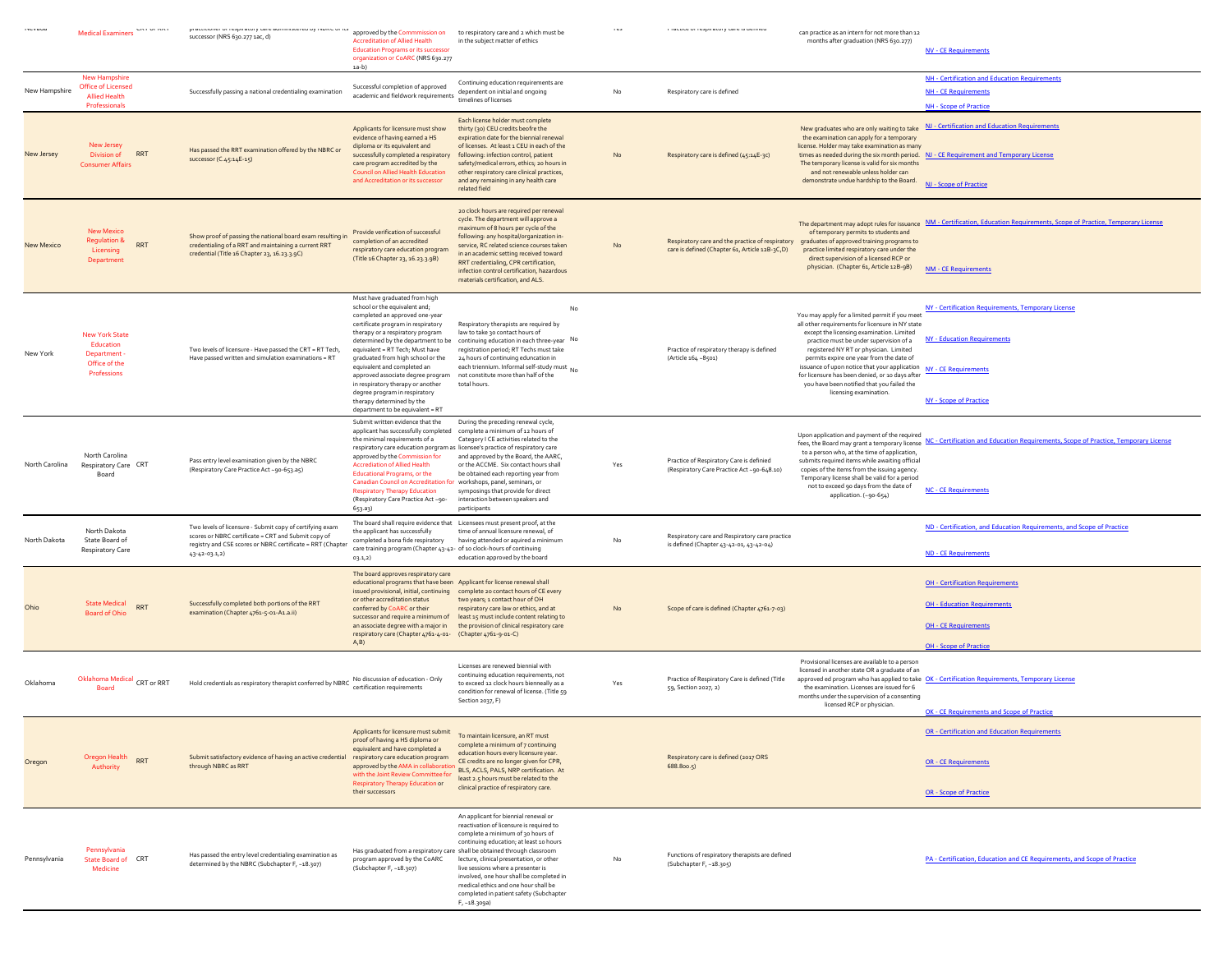|                   | Medical Examiners Save School                                                              | ur ur rusprinsvorg uuru<br>arau oy reorca or re<br>successor (NRS 630.277 1ac, d)                                                                                                                     | approved by the Commmission on<br><b>Accreditation of Allied Health</b><br><b>Education Programs or its successor</b><br>organization or CoARC (NRS 630.277<br>$1a-b)$                                                                                                                                                                                                                                                                                                                                          | to respiratory care and 2 which must be<br>in the subject matter of ethics                                                                                                                                                                                                                                                                                                                        |     | na or rasprisión pasna is saínna                                                                                                              | can practice as an intern for not more than 12<br>months after graduation (NRS 630.277)                                                                                                                                                                                                                                                                                                                                                                      | <b>NV - CE Requirements</b>                                                                                                                                       |
|-------------------|--------------------------------------------------------------------------------------------|-------------------------------------------------------------------------------------------------------------------------------------------------------------------------------------------------------|-----------------------------------------------------------------------------------------------------------------------------------------------------------------------------------------------------------------------------------------------------------------------------------------------------------------------------------------------------------------------------------------------------------------------------------------------------------------------------------------------------------------|---------------------------------------------------------------------------------------------------------------------------------------------------------------------------------------------------------------------------------------------------------------------------------------------------------------------------------------------------------------------------------------------------|-----|-----------------------------------------------------------------------------------------------------------------------------------------------|--------------------------------------------------------------------------------------------------------------------------------------------------------------------------------------------------------------------------------------------------------------------------------------------------------------------------------------------------------------------------------------------------------------------------------------------------------------|-------------------------------------------------------------------------------------------------------------------------------------------------------------------|
| New Hampshire     | <b>New Hampshire</b><br><b>Office of Licensed</b><br><b>Allied Health</b><br>Professionals | Successfully passing a national credentialing examination                                                                                                                                             | Successful completion of approved<br>academic and fieldwork requirements                                                                                                                                                                                                                                                                                                                                                                                                                                        | Continuing education requirements are<br>dependent on initial and ongoing<br>timelines of licenses                                                                                                                                                                                                                                                                                                | No  | Respiratory care is defined                                                                                                                   |                                                                                                                                                                                                                                                                                                                                                                                                                                                              | NH - Certification and Education Requirements<br><b>NH - CE Requirements</b><br>NH - Scope of Practice                                                            |
| New Jersey        | New Jersey<br><b>RRT</b><br>Division of<br><b>Consumer Affairs</b>                         | Has passed the RRT examination offered by the NBRC or<br>successor (C.45:14E-15)                                                                                                                      | Applicants for licensure must show<br>evidence of having earned a HS<br>diploma or its equivalent and<br>successfully completed a respiratory<br>care program accredited by the<br><b>Council on Allied Health Education</b><br>and Accreditation or its successor                                                                                                                                                                                                                                              | Each license holder must complete<br>thirty (30) CEU credits beofre the<br>expiration date for the biennial renewal<br>of licenses. At least 1 CEU in each of the<br>following: infection control, patient<br>safety/medical errors, ethics; 20 hours in<br>other respiratory care clinical practices,<br>and any remaining in any health care<br>related field                                   | No  | Respiratory care is defined (45:14E-3c)                                                                                                       | New graduates who are only waiting to take<br>the examination can apply for a temporary<br>license. Holder may take examination as many<br>The temporary license is valid for six months<br>and not renewable unless holder can<br>demonstrate undue hardship to the Board.                                                                                                                                                                                  | NJ - Certification and Education Requirements<br>times as needed during the six month period. NJ - CE Requirement and Temporary License<br>NJ - Scope of Practice |
| <b>New Mexico</b> | <b>New Mexico</b><br><b>Regulation &amp;</b><br>RRT<br>Licensing<br>Department             | Show proof of passing the national board exam resulting in<br>credentialing of a RRT and maintaining a current RRT<br>credential (Title 16 Chapter 23, 16.23.3.9C)                                    | Provide verification of successful<br>completion of an accredited<br>respiratory care education program<br>(Title 16 Chapter 23, 16.23.3.9B)                                                                                                                                                                                                                                                                                                                                                                    | 20 clock hours are required per renewal<br>cycle. The department will approve a<br>maximum of 8 hours per cycle of the<br>following: any hospital/organization in-<br>service, RC related science courses taken<br>in an academic setting received toward<br>RRT credentialing, CPR certification,<br>infection control certification, hazardous<br>materials certification, and ALS.             | No  | Respiratory care and the practice of respiratory graduates of approved training programs to<br>care is defined (Chapter 61, Article 12B-3C,D) | of temporary permits to students and<br>practice limited respiratory care under the<br>direct supervision of a licensed RCP or<br>physician. (Chapter 61, Article 12B-9B)                                                                                                                                                                                                                                                                                    | The department may adopt rules for issuance NM - Certification, Education Requirements, Scope of Practice, Temporary License<br><b>NM - CE Requirements</b>       |
| New York          | <b>New York State</b><br>Education<br>Department<br>Office of the<br>Professions           | Two levels of licensure - Have passed the CRT = RT Tech,<br>Have passed written and simulation examinations = RT                                                                                      | Must have graduated from high<br>school or the equivalent and;<br>completed an approved one-year<br>certificate program in respiratory<br>therapy or a respiratory program<br>determined by the department to be<br>equivalent = RT Tech; Must have<br>graduated from high school or the<br>equivalent and completed an<br>approved associate degree program<br>in respiratory therapy or another<br>degree program in respiratory<br>therapy determined by the<br>department to be equivalent = RT             | No<br>Respiratory therapists are required by<br>law to take 30 contact hours of<br>continuing education in each three-year No<br>registration period; RT Techs must take<br>24 hours of continuing eduncation in<br>each triennium. Informal self-study must No<br>not constitute more than half of the<br>total hours.                                                                           |     | Practice of respiratory therapy is defined<br>(Article 164 -8501)                                                                             | You may apply for a limited permit if you meet<br>all other requirements for licensure in NY state<br>except the licensing examination. Limited<br>practice must be under supervision of a<br>registered NY RT or physician. Limited<br>permits expire one year from the date of<br>issuance of upon notice that your application<br>for licensure has been denied, or 10 days after<br>you have been notified that you failed the<br>licensing examination. | NY - Certification Requirements, Temporary License<br><b>NY - Education Requirements</b><br><b>NY - CE Requirements</b><br><b>NY - Scope of Practice</b>          |
| North Carolina    | North Carolina<br>Respiratory Care CRT<br>Board                                            | Pass entry level examination given by the NBRC<br>(Respiratory Care Practice Act -90-653.a5)                                                                                                          | Submit written evidence that the<br>applicant has successfully completed complete a minimum of 12 hours of<br>the minimal requirements of a<br>respiratory care education porgram as licensee's practice of respiratory care<br>approved by the Commission for<br><b>Accrediation of Allied Health</b><br><b>Educational Programs, or the</b><br>Canadian Council on Accreditation for workshops, panel, seminars, or<br><b>Respiratory Therapy Education</b><br>(Respiratory Care Practice Act -90-<br>653.a3) | During the preceding renewal cycle,<br>Category I CE activities related to the<br>and approved by the Board, the AARC,<br>or the ACCME. Six contact hours shall<br>be obtained each reporting year from<br>symposings that provide for direct<br>interaction between speakers and<br>participants                                                                                                 | Yes | Practice of Respiratory Care is definied<br>(Respiratory Care Practice Act -90-648.10)                                                        | Upon application and payment of the required<br>fees, the Board may grant a temporary license<br>to a person who, at the time of application,<br>submits required items while awaiting official<br>copies of the items from the issuing agency.<br>Temporary license shall be valid for a period<br>not to exceed 90 days from the date of<br>application. (~90-654)                                                                                         | NC - Certification and Education Requirements, Scope of Practice, Temporary License<br><b>NC - CE Requirements</b>                                                |
| North Dakota      | North Dakota<br>State Board of<br>Respiratory Care                                         | Two levels of licensure - Submit copy of certifying exam<br>scores or NBRC certificate = CRT and Submit copy of<br>registry and CSE scores or NBRC certificate = RRT (Chapter<br>$43 - 42 - 03 - 1,2$ | The board shall require evidence that Licensees must present proof, at the<br>the applicant has successfully<br>completed a bona fide respiratory<br>care training program (Chapter 43-42- of 10 clock-hours of continuing<br>03.1,2)                                                                                                                                                                                                                                                                           | time of annual licensure renewal, of<br>having attended or aquired a minimum<br>education approved by the board                                                                                                                                                                                                                                                                                   | No  | Respiratory care and Respiratory care practice<br>is defined (Chapter 43-42-01, 43-42-04)                                                     |                                                                                                                                                                                                                                                                                                                                                                                                                                                              | ND - Certification, and Education Requirements, and Scope of Practice<br><b>ND - CE Requirements</b>                                                              |
|                   | <b>State Medical</b><br>RRT<br>Board of Ohio                                               | Successfully completed both portions of the RRT<br>examination (Chapter 4761-5-01-A1.a.ii)                                                                                                            | The board approves respiratory care<br>educational programs that have been Applicant for license renewal shall<br>or other accreditation status<br>conferred by CoARC or their<br>successor and require a minimum of<br>respiratory care (Chapter 4761-4-01- (Chapter 4761-9-01-C)<br>A <sub>r</sub> B                                                                                                                                                                                                          | issued provisional, initial, continuing complete 20 contact hours of CE every<br>two years; 1 contact hour of OH<br>respiratory care law or ethics, and at<br>least 15 must include content relating to<br>an associate degree with a major in the provision of clinical respiratory care                                                                                                         | No  | Scope of care is defined (Chapter 4761-7-03)                                                                                                  |                                                                                                                                                                                                                                                                                                                                                                                                                                                              | <b>OH - Certification Requirements</b><br><b>OH - Education Requirements</b><br><b>OH - CE Requirements</b><br><b>OH - Scope of Practice</b>                      |
| Oklahoma          | Oklahoma Medical<br>CRT or RRT<br><b>Board</b>                                             | Hold credentials as respiratory therapist conferred by NBRC                                                                                                                                           | No discussion of education - Only<br>certification requirements                                                                                                                                                                                                                                                                                                                                                                                                                                                 | Licenses are renewed biennial with<br>continuing education requirements, not<br>to exceed 12 clock hours bienneally as a<br>condition for renewal of license. (Title 59<br>Section 2037, F)                                                                                                                                                                                                       | Yes | Practice of Respiratory Care is defined (Title<br>59, Section 2027, 2)                                                                        | Provisional licenses are available to a person<br>licensed in another state OR a graduate of an<br>the examination. Licenses are issued for 6<br>months under the supervision of a consenting<br>licensed RCP or physician.                                                                                                                                                                                                                                  | approved ed program who has applied to take OK - Certification Requirements, Temporary License<br>OK - CE Requirements and Scope of Practice                      |
| Oregon            | Oregon Health RRT<br>Authority                                                             | Submit satisfactory evidence of having an active credential<br>through NBRC as RRT                                                                                                                    | Applicants for licensure must submit<br>proof of having a HS diploma or<br>equivalent and have completed a<br>respiratory care education program<br>approved by the AMA in collaborati<br>with the Joint Review Committee for<br><b>Respiratory Therapy Education or</b><br>their successors                                                                                                                                                                                                                    | To maintain licensure, an RT must<br>complete a minimum of 7 continuing<br>education hours every licensure year.<br>CE credits are no longer given for CPR,<br>BLS, ACLS, PALS, NRP certification. At<br>least 2.5 hours must be related to the<br>clinical practice of respiratory care.                                                                                                         |     | Respiratory care is defined (2017 ORS<br>688.800.5)                                                                                           |                                                                                                                                                                                                                                                                                                                                                                                                                                                              | <b>OR - Certification and Education Requirements</b><br><b>OR - CE Requirements</b><br><b>OR - Scope of Practice</b>                                              |
| Pennsylvania      | Pennsylvania<br>State Board of CRT<br>Medicine                                             | Has passed the entry level credentialing examination as<br>determined by the NBRC (Subchapter F, -18.307)                                                                                             | Has graduated from a respiratory care shall be obtained through classroom<br>program approved by the CoARC<br>(Subchapter F, -18.307)                                                                                                                                                                                                                                                                                                                                                                           | An applicant for biennial renewal or<br>reactivation of licensure is required to<br>complete a minimum of 30 hours of<br>continuing education; at least 10 hours<br>lecture, clinical presentation, or other<br>live sessions where a presenter is<br>involved, one hour shall be completed in<br>medical ethics and one hour shall be<br>completed in patient safety (Subchapter<br>F, -18.309a) | No  | Functions of respiratory therapists are defined<br>(Subchapter F, -18.305)                                                                    |                                                                                                                                                                                                                                                                                                                                                                                                                                                              | PA - Certification, Education and CE Requirements, and Scope of Practice                                                                                          |